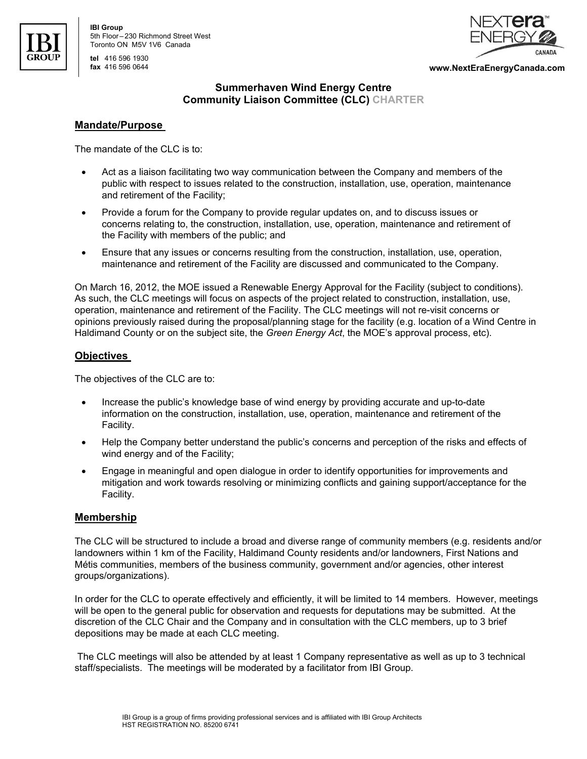

| **tel** 416 596 1930



**fax** 416 596 0644 **www.NextEraEnergyCanada.com** 

# **Summerhaven Wind Energy Centre Community Liaison Committee (CLC) CHARTER**

## **Mandate/Purpose**

The mandate of the CLC is to:

- Act as a liaison facilitating two way communication between the Company and members of the public with respect to issues related to the construction, installation, use, operation, maintenance and retirement of the Facility;
- Provide a forum for the Company to provide regular updates on, and to discuss issues or concerns relating to, the construction, installation, use, operation, maintenance and retirement of the Facility with members of the public; and
- Ensure that any issues or concerns resulting from the construction, installation, use, operation, maintenance and retirement of the Facility are discussed and communicated to the Company.

On March 16, 2012, the MOE issued a Renewable Energy Approval for the Facility (subject to conditions). As such, the CLC meetings will focus on aspects of the project related to construction, installation, use, operation, maintenance and retirement of the Facility. The CLC meetings will not re-visit concerns or opinions previously raised during the proposal/planning stage for the facility (e.g. location of a Wind Centre in Haldimand County or on the subject site, the *Green Energy Act*, the MOE's approval process, etc).

# **Objectives**

The objectives of the CLC are to:

- Increase the public's knowledge base of wind energy by providing accurate and up-to-date information on the construction, installation, use, operation, maintenance and retirement of the Facility.
- Help the Company better understand the public's concerns and perception of the risks and effects of wind energy and of the Facility;
- Engage in meaningful and open dialogue in order to identify opportunities for improvements and mitigation and work towards resolving or minimizing conflicts and gaining support/acceptance for the Facility.

# **Membership**

The CLC will be structured to include a broad and diverse range of community members (e.g. residents and/or landowners within 1 km of the Facility, Haldimand County residents and/or landowners, First Nations and Métis communities, members of the business community, government and/or agencies, other interest groups/organizations).

In order for the CLC to operate effectively and efficiently, it will be limited to 14 members. However, meetings will be open to the general public for observation and requests for deputations may be submitted. At the discretion of the CLC Chair and the Company and in consultation with the CLC members, up to 3 brief depositions may be made at each CLC meeting.

 The CLC meetings will also be attended by at least 1 Company representative as well as up to 3 technical staff/specialists. The meetings will be moderated by a facilitator from IBI Group.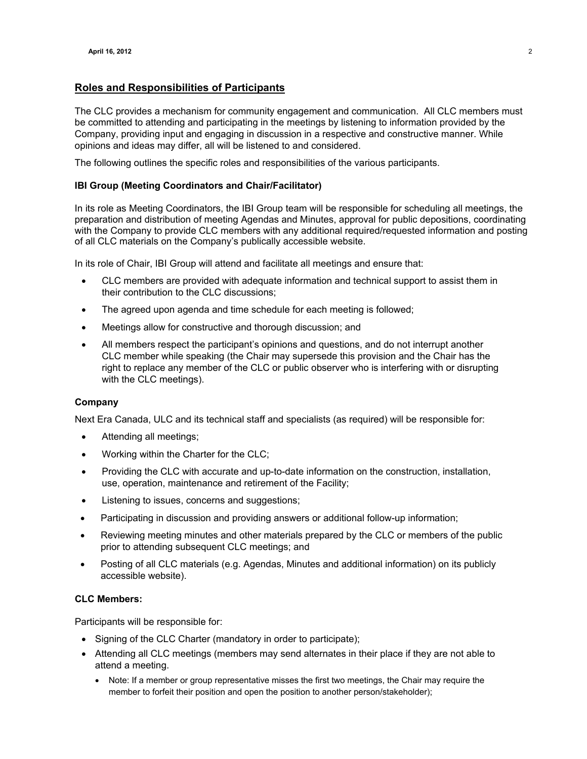## **Roles and Responsibilities of Participants**

The CLC provides a mechanism for community engagement and communication. All CLC members must be committed to attending and participating in the meetings by listening to information provided by the Company, providing input and engaging in discussion in a respective and constructive manner. While opinions and ideas may differ, all will be listened to and considered.

The following outlines the specific roles and responsibilities of the various participants.

### **IBI Group (Meeting Coordinators and Chair/Facilitator)**

In its role as Meeting Coordinators, the IBI Group team will be responsible for scheduling all meetings, the preparation and distribution of meeting Agendas and Minutes, approval for public depositions, coordinating with the Company to provide CLC members with any additional required/requested information and posting of all CLC materials on the Company's publically accessible website.

In its role of Chair, IBI Group will attend and facilitate all meetings and ensure that:

- CLC members are provided with adequate information and technical support to assist them in their contribution to the CLC discussions;
- The agreed upon agenda and time schedule for each meeting is followed;
- Meetings allow for constructive and thorough discussion; and
- All members respect the participant's opinions and questions, and do not interrupt another CLC member while speaking (the Chair may supersede this provision and the Chair has the right to replace any member of the CLC or public observer who is interfering with or disrupting with the CLC meetings).

### **Company**

Next Era Canada, ULC and its technical staff and specialists (as required) will be responsible for:

- Attending all meetings;
- Working within the Charter for the CLC;
- Providing the CLC with accurate and up-to-date information on the construction, installation, use, operation, maintenance and retirement of the Facility;
- Listening to issues, concerns and suggestions;
- Participating in discussion and providing answers or additional follow-up information;
- Reviewing meeting minutes and other materials prepared by the CLC or members of the public prior to attending subsequent CLC meetings; and
- Posting of all CLC materials (e.g. Agendas, Minutes and additional information) on its publicly accessible website).

### **CLC Members:**

Participants will be responsible for:

- Signing of the CLC Charter (mandatory in order to participate);
- Attending all CLC meetings (members may send alternates in their place if they are not able to attend a meeting.
	- Note: If a member or group representative misses the first two meetings, the Chair may require the member to forfeit their position and open the position to another person/stakeholder);